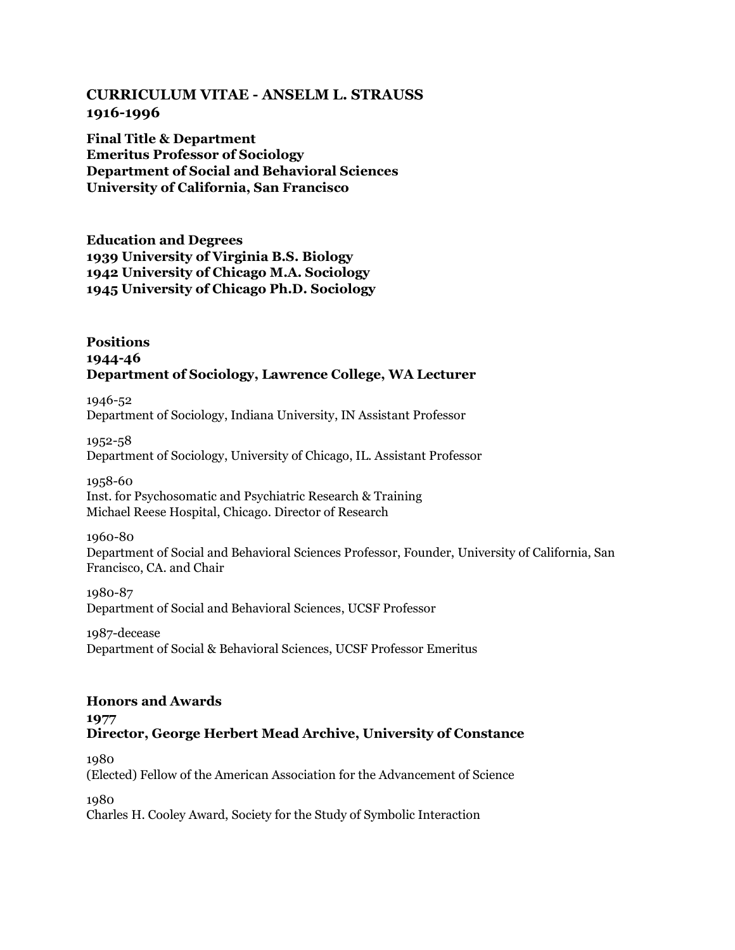# **CURRICULUM VITAE - ANSELM L. STRAUSS 1916-1996**

**Final Title & Department Emeritus Professor of Sociology Department of Social and Behavioral Sciences University of California, San Francisco**

**Education and Degrees 1939 University of Virginia B.S. Biology 1942 University of Chicago M.A. Sociology 1945 University of Chicago Ph.D. Sociology**

# **Positions 1944-46 Department of Sociology, Lawrence College, WA Lecturer**

1946-52 Department of Sociology, Indiana University, IN Assistant Professor

1952-58 Department of Sociology, University of Chicago, IL. Assistant Professor

1958-60 Inst. for Psychosomatic and Psychiatric Research & Training Michael Reese Hospital, Chicago. Director of Research

1960-80

Department of Social and Behavioral Sciences Professor, Founder, University of California, San Francisco, CA. and Chair

1980-87 Department of Social and Behavioral Sciences, UCSF Professor

1987-decease Department of Social & Behavioral Sciences, UCSF Professor Emeritus

# **Honors and Awards 1977 Director, George Herbert Mead Archive, University of Constance**

1980 (Elected) Fellow of the American Association for the Advancement of Science

1980

Charles H. Cooley Award, Society for the Study of Symbolic Interaction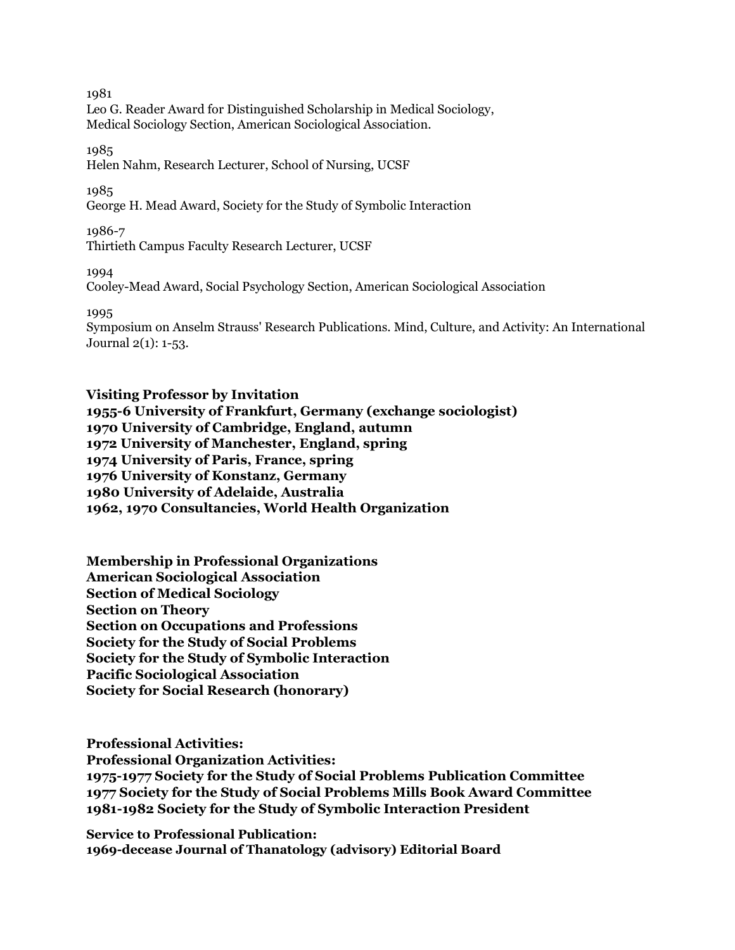Leo G. Reader Award for Distinguished Scholarship in Medical Sociology, Medical Sociology Section, American Sociological Association.

1985

Helen Nahm, Research Lecturer, School of Nursing, UCSF

1985

George H. Mead Award, Society for the Study of Symbolic Interaction

1986-7

Thirtieth Campus Faculty Research Lecturer, UCSF

1994

Cooley-Mead Award, Social Psychology Section, American Sociological Association

1995

Symposium on Anselm Strauss' Research Publications. Mind, Culture, and Activity: An International Journal 2(1): 1-53.

**Visiting Professor by Invitation 1955-6 University of Frankfurt, Germany (exchange sociologist) 1970 University of Cambridge, England, autumn 1972 University of Manchester, England, spring 1974 University of Paris, France, spring 1976 University of Konstanz, Germany 1980 University of Adelaide, Australia 1962, 1970 Consultancies, World Health Organization**

**Membership in Professional Organizations American Sociological Association Section of Medical Sociology Section on Theory Section on Occupations and Professions Society for the Study of Social Problems Society for the Study of Symbolic Interaction Pacific Sociological Association Society for Social Research (honorary)**

**Professional Activities:**

**Professional Organization Activities:**

**1975-1977 Society for the Study of Social Problems Publication Committee 1977 Society for the Study of Social Problems Mills Book Award Committee 1981-1982 Society for the Study of Symbolic Interaction President**

**Service to Professional Publication: 1969-decease Journal of Thanatology (advisory) Editorial Board**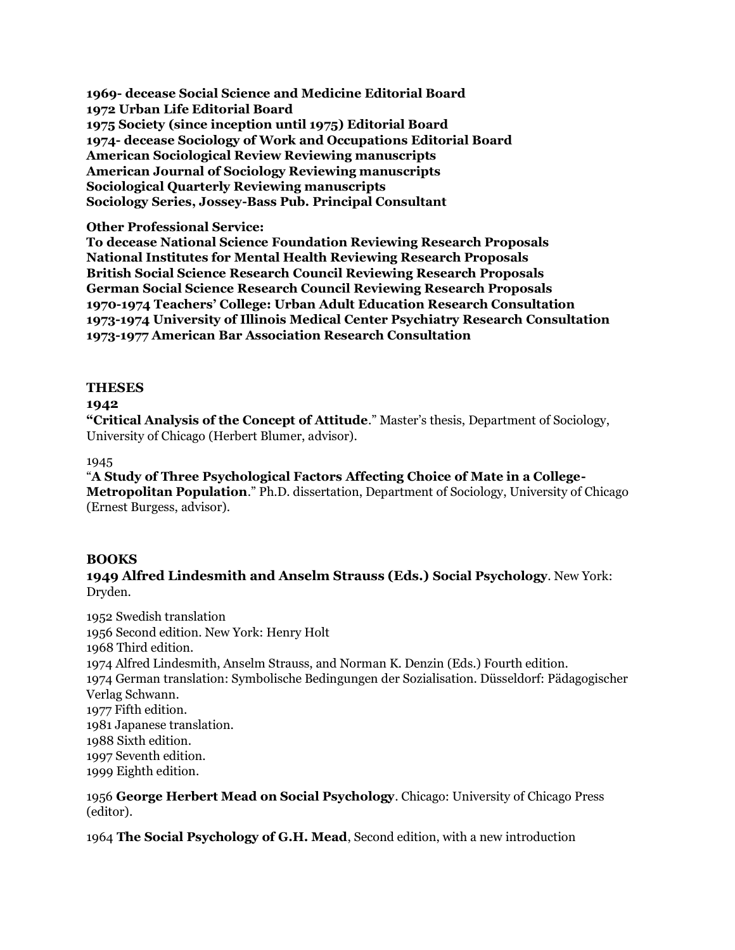**1969- decease Social Science and Medicine Editorial Board 1972 Urban Life Editorial Board 1975 Society (since inception until 1975) Editorial Board 1974- decease Sociology of Work and Occupations Editorial Board American Sociological Review Reviewing manuscripts American Journal of Sociology Reviewing manuscripts Sociological Quarterly Reviewing manuscripts Sociology Series, Jossey-Bass Pub. Principal Consultant**

#### **Other Professional Service:**

**To decease National Science Foundation Reviewing Research Proposals National Institutes for Mental Health Reviewing Research Proposals British Social Science Research Council Reviewing Research Proposals German Social Science Research Council Reviewing Research Proposals 1970-1974 Teachers' College: Urban Adult Education Research Consultation 1973-1974 University of Illinois Medical Center Psychiatry Research Consultation 1973-1977 American Bar Association Research Consultation**

### **THESES**

### **1942**

**"Critical Analysis of the Concept of Attitude**." Master's thesis, Department of Sociology, University of Chicago (Herbert Blumer, advisor).

#### 1945

"**A Study of Three Psychological Factors Affecting Choice of Mate in a College-Metropolitan Population**." Ph.D. dissertation, Department of Sociology, University of Chicago (Ernest Burgess, advisor).

## **BOOKS**

**1949 Alfred Lindesmith and Anselm Strauss (Eds.) Social Psychology**. New York: Dryden.

1952 Swedish translation 1956 Second edition. New York: Henry Holt 1968 Third edition. 1974 Alfred Lindesmith, Anselm Strauss, and Norman K. Denzin (Eds.) Fourth edition. 1974 German translation: Symbolische Bedingungen der Sozialisation. Düsseldorf: Pädagogischer Verlag Schwann. 1977 Fifth edition. 1981 Japanese translation. 1988 Sixth edition. 1997 Seventh edition. 1999 Eighth edition.

1956 **George Herbert Mead on Social Psychology**. Chicago: University of Chicago Press (editor).

1964 **The Social Psychology of G.H. Mead**, Second edition, with a new introduction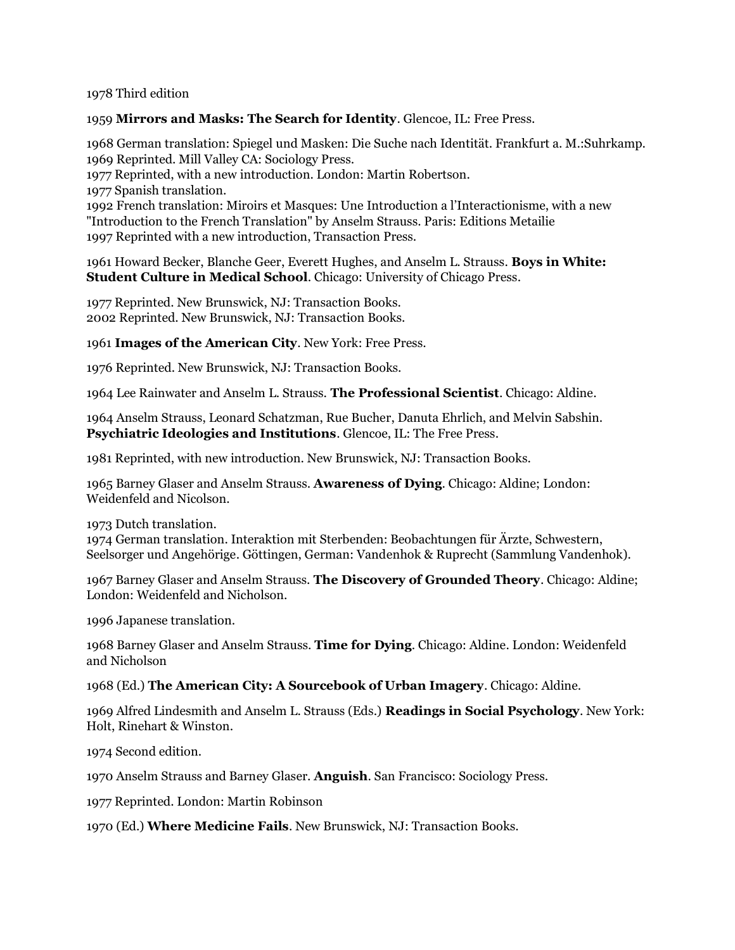#### 1978 Third edition

### 1959 **Mirrors and Masks: The Search for Identity**. Glencoe, IL: Free Press.

1968 German translation: Spiegel und Masken: Die Suche nach Identität. Frankfurt a. M.:Suhrkamp. 1969 Reprinted. Mill Valley CA: Sociology Press. 1977 Reprinted, with a new introduction. London: Martin Robertson. 1977 Spanish translation. 1992 French translation: Miroirs et Masques: Une Introduction a l'Interactionisme, with a new "Introduction to the French Translation" by Anselm Strauss. Paris: Editions Metailie 1997 Reprinted with a new introduction, Transaction Press.

1961 Howard Becker, Blanche Geer, Everett Hughes, and Anselm L. Strauss. **Boys in White: Student Culture in Medical School**. Chicago: University of Chicago Press.

1977 Reprinted. New Brunswick, NJ: Transaction Books. 2002 Reprinted. New Brunswick, NJ: Transaction Books.

1961 **Images of the American City**. New York: Free Press.

1976 Reprinted. New Brunswick, NJ: Transaction Books.

1964 Lee Rainwater and Anselm L. Strauss. **The Professional Scientist**. Chicago: Aldine.

1964 Anselm Strauss, Leonard Schatzman, Rue Bucher, Danuta Ehrlich, and Melvin Sabshin. **Psychiatric Ideologies and Institutions**. Glencoe, IL: The Free Press.

1981 Reprinted, with new introduction. New Brunswick, NJ: Transaction Books.

1965 Barney Glaser and Anselm Strauss. **Awareness of Dying**. Chicago: Aldine; London: Weidenfeld and Nicolson.

1973 Dutch translation.

1974 German translation. Interaktion mit Sterbenden: Beobachtungen für Ärzte, Schwestern, Seelsorger und Angehörige. Göttingen, German: Vandenhok & Ruprecht (Sammlung Vandenhok).

1967 Barney Glaser and Anselm Strauss. **The Discovery of Grounded Theory**. Chicago: Aldine; London: Weidenfeld and Nicholson.

1996 Japanese translation.

1968 Barney Glaser and Anselm Strauss. **Time for Dying**. Chicago: Aldine. London: Weidenfeld and Nicholson

1968 (Ed.) **The American City: A Sourcebook of Urban Imagery**. Chicago: Aldine.

1969 Alfred Lindesmith and Anselm L. Strauss (Eds.) **Readings in Social Psychology**. New York: Holt, Rinehart & Winston.

1974 Second edition.

1970 Anselm Strauss and Barney Glaser. **Anguish**. San Francisco: Sociology Press.

1977 Reprinted. London: Martin Robinson

1970 (Ed.) **Where Medicine Fails**. New Brunswick, NJ: Transaction Books.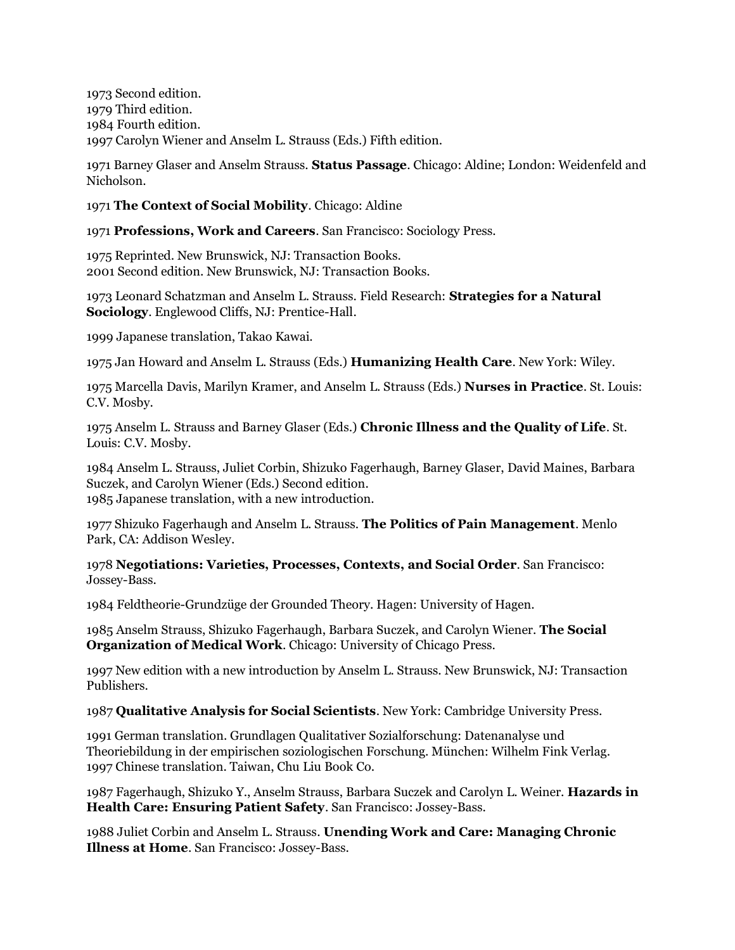1973 Second edition. 1979 Third edition. 1984 Fourth edition. 1997 Carolyn Wiener and Anselm L. Strauss (Eds.) Fifth edition.

1971 Barney Glaser and Anselm Strauss. **Status Passage**. Chicago: Aldine; London: Weidenfeld and Nicholson.

1971 **The Context of Social Mobility**. Chicago: Aldine

1971 **Professions, Work and Careers**. San Francisco: Sociology Press.

1975 Reprinted. New Brunswick, NJ: Transaction Books. 2001 Second edition. New Brunswick, NJ: Transaction Books.

1973 Leonard Schatzman and Anselm L. Strauss. Field Research: **Strategies for a Natural Sociology**. Englewood Cliffs, NJ: Prentice-Hall.

1999 Japanese translation, Takao Kawai.

1975 Jan Howard and Anselm L. Strauss (Eds.) **Humanizing Health Care**. New York: Wiley.

1975 Marcella Davis, Marilyn Kramer, and Anselm L. Strauss (Eds.) **Nurses in Practice**. St. Louis: C.V. Mosby.

1975 Anselm L. Strauss and Barney Glaser (Eds.) **Chronic Illness and the Quality of Life**. St. Louis: C.V. Mosby.

1984 Anselm L. Strauss, Juliet Corbin, Shizuko Fagerhaugh, Barney Glaser, David Maines, Barbara Suczek, and Carolyn Wiener (Eds.) Second edition. 1985 Japanese translation, with a new introduction.

1977 Shizuko Fagerhaugh and Anselm L. Strauss. **The Politics of Pain Management**. Menlo Park, CA: Addison Wesley.

1978 **Negotiations: Varieties, Processes, Contexts, and Social Order**. San Francisco: Jossey-Bass.

1984 Feldtheorie-Grundzüge der Grounded Theory. Hagen: University of Hagen.

1985 Anselm Strauss, Shizuko Fagerhaugh, Barbara Suczek, and Carolyn Wiener. **The Social Organization of Medical Work**. Chicago: University of Chicago Press.

1997 New edition with a new introduction by Anselm L. Strauss. New Brunswick, NJ: Transaction Publishers.

1987 **Qualitative Analysis for Social Scientists**. New York: Cambridge University Press.

1991 German translation. Grundlagen Qualitativer Sozialforschung: Datenanalyse und Theoriebildung in der empirischen soziologischen Forschung. München: Wilhelm Fink Verlag. 1997 Chinese translation. Taiwan, Chu Liu Book Co.

1987 Fagerhaugh, Shizuko Y., Anselm Strauss, Barbara Suczek and Carolyn L. Weiner. **Hazards in Health Care: Ensuring Patient Safety**. San Francisco: Jossey-Bass.

1988 Juliet Corbin and Anselm L. Strauss. **Unending Work and Care: Managing Chronic Illness at Home**. San Francisco: Jossey-Bass.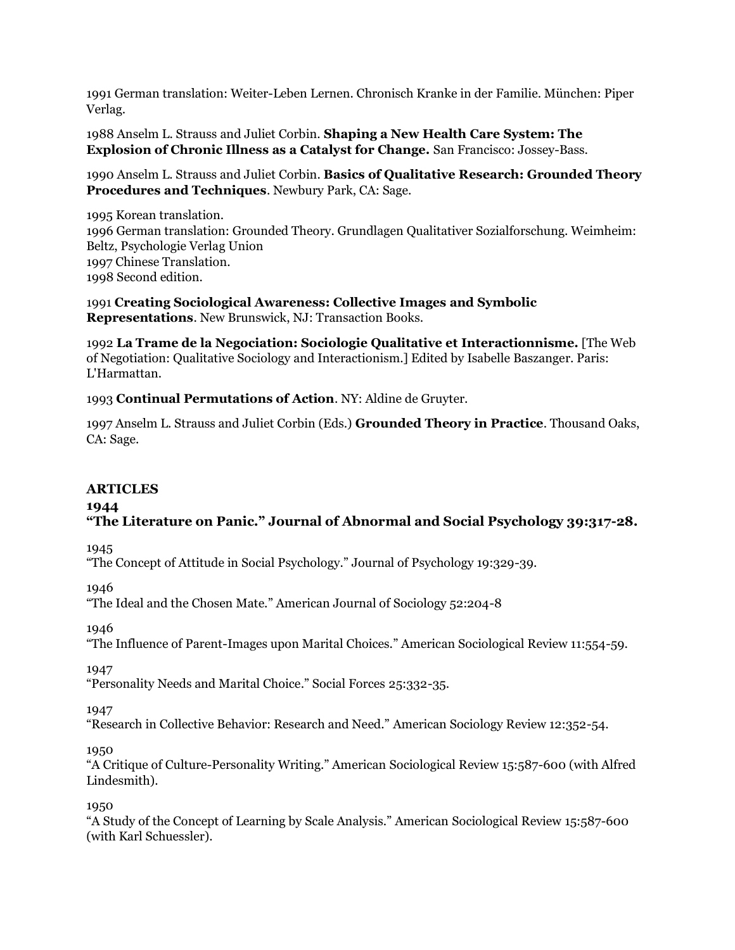1991 German translation: Weiter-Leben Lernen. Chronisch Kranke in der Familie. München: Piper Verlag.

1988 Anselm L. Strauss and Juliet Corbin. **Shaping a New Health Care System: The Explosion of Chronic Illness as a Catalyst for Change.** San Francisco: Jossey-Bass.

1990 Anselm L. Strauss and Juliet Corbin. **Basics of Qualitative Research: Grounded Theory Procedures and Techniques**. Newbury Park, CA: Sage.

1995 Korean translation. 1996 German translation: Grounded Theory. Grundlagen Qualitativer Sozialforschung. Weimheim: Beltz, Psychologie Verlag Union 1997 Chinese Translation. 1998 Second edition.

1991 **Creating Sociological Awareness: Collective Images and Symbolic Representations**. New Brunswick, NJ: Transaction Books.

1992 **La Trame de la Negociation: Sociologie Qualitative et Interactionnisme.** [The Web of Negotiation: Qualitative Sociology and Interactionism.] Edited by Isabelle Baszanger. Paris: L'Harmattan.

1993 **Continual Permutations of Action**. NY: Aldine de Gruyter.

1997 Anselm L. Strauss and Juliet Corbin (Eds.) **Grounded Theory in Practice**. Thousand Oaks, CA: Sage.

## **ARTICLES**

#### **1944**

# **"The Literature on Panic." Journal of Abnormal and Social Psychology 39:317-28.**

1945

"The Concept of Attitude in Social Psychology." Journal of Psychology 19:329-39.

1946

"The Ideal and the Chosen Mate." American Journal of Sociology 52:204-8

1946

"The Influence of Parent-Images upon Marital Choices." American Sociological Review 11:554-59.

1947

"Personality Needs and Marital Choice." Social Forces 25:332-35.

1947

"Research in Collective Behavior: Research and Need." American Sociology Review 12:352-54.

1950

"A Critique of Culture-Personality Writing." American Sociological Review 15:587-600 (with Alfred Lindesmith).

1950

"A Study of the Concept of Learning by Scale Analysis." American Sociological Review 15:587-600 (with Karl Schuessler).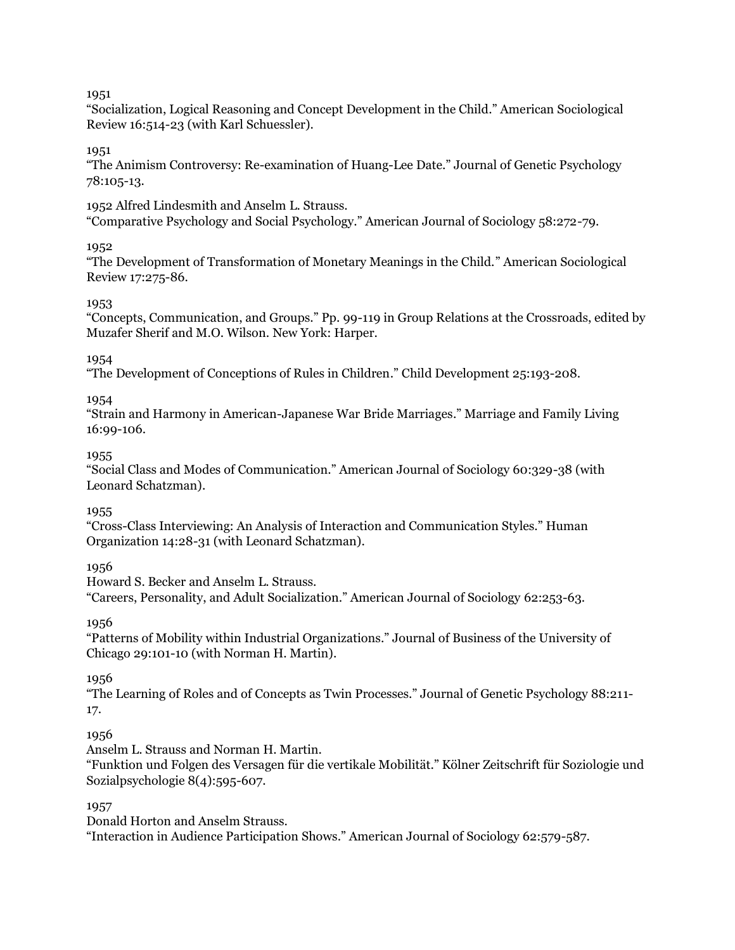"Socialization, Logical Reasoning and Concept Development in the Child." American Sociological Review 16:514-23 (with Karl Schuessler).

1951

"The Animism Controversy: Re-examination of Huang-Lee Date." Journal of Genetic Psychology 78:105-13.

1952 Alfred Lindesmith and Anselm L. Strauss.

"Comparative Psychology and Social Psychology." American Journal of Sociology 58:272-79.

# 1952

"The Development of Transformation of Monetary Meanings in the Child." American Sociological Review 17:275-86.

# 1953

"Concepts, Communication, and Groups." Pp. 99-119 in Group Relations at the Crossroads, edited by Muzafer Sherif and M.O. Wilson. New York: Harper.

# 1954

"The Development of Conceptions of Rules in Children." Child Development 25:193-208.

1954

"Strain and Harmony in American-Japanese War Bride Marriages." Marriage and Family Living 16:99-106.

# 1955

"Social Class and Modes of Communication." American Journal of Sociology 60:329-38 (with Leonard Schatzman).

# 1955

"Cross-Class Interviewing: An Analysis of Interaction and Communication Styles." Human Organization 14:28-31 (with Leonard Schatzman).

1956

Howard S. Becker and Anselm L. Strauss. "Careers, Personality, and Adult Socialization." American Journal of Sociology 62:253-63.

1956

"Patterns of Mobility within Industrial Organizations." Journal of Business of the University of Chicago 29:101-10 (with Norman H. Martin).

1956

"The Learning of Roles and of Concepts as Twin Processes." Journal of Genetic Psychology 88:211- 17.

# 1956

Anselm L. Strauss and Norman H. Martin.

"Funktion und Folgen des Versagen für die vertikale Mobilität." Kölner Zeitschrift für Soziologie und Sozialpsychologie 8(4):595-607.

# 1957

Donald Horton and Anselm Strauss.

"Interaction in Audience Participation Shows." American Journal of Sociology 62:579-587.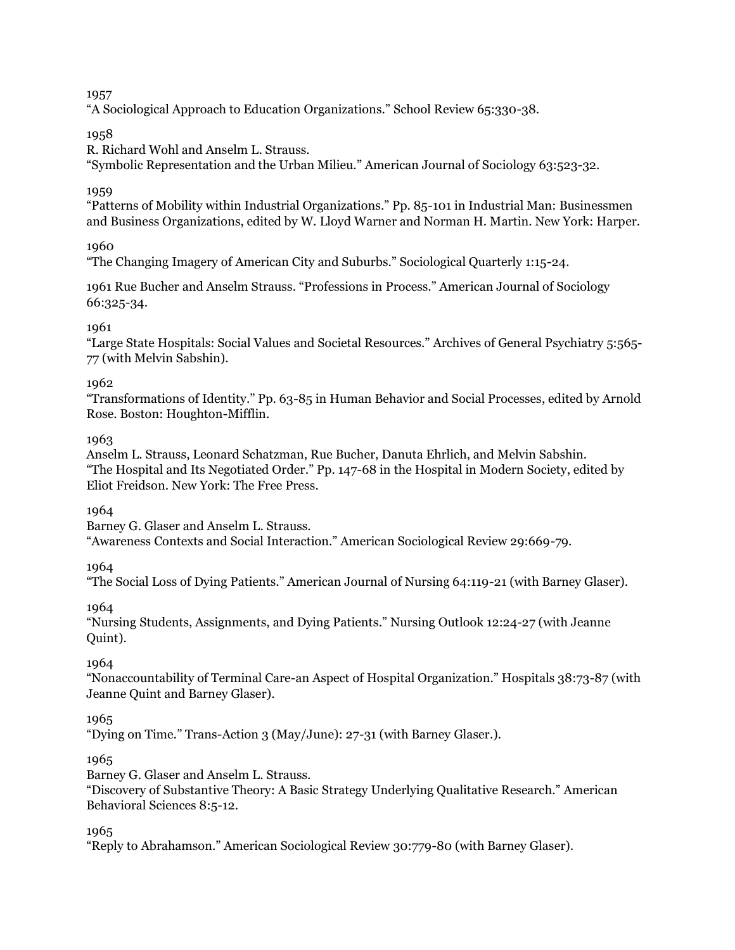"A Sociological Approach to Education Organizations." School Review 65:330-38.

# 1958

R. Richard Wohl and Anselm L. Strauss.

"Symbolic Representation and the Urban Milieu." American Journal of Sociology 63:523-32.

# 1959

"Patterns of Mobility within Industrial Organizations." Pp. 85-101 in Industrial Man: Businessmen and Business Organizations, edited by W. Lloyd Warner and Norman H. Martin. New York: Harper.

1960

"The Changing Imagery of American City and Suburbs." Sociological Quarterly 1:15-24.

1961 Rue Bucher and Anselm Strauss. "Professions in Process." American Journal of Sociology 66:325-34.

# 1961

"Large State Hospitals: Social Values and Societal Resources." Archives of General Psychiatry 5:565- 77 (with Melvin Sabshin).

# 1962

"Transformations of Identity." Pp. 63-85 in Human Behavior and Social Processes, edited by Arnold Rose. Boston: Houghton-Mifflin.

# 1963

Anselm L. Strauss, Leonard Schatzman, Rue Bucher, Danuta Ehrlich, and Melvin Sabshin. "The Hospital and Its Negotiated Order." Pp. 147-68 in the Hospital in Modern Society, edited by Eliot Freidson. New York: The Free Press.

## 1964

Barney G. Glaser and Anselm L. Strauss.

"Awareness Contexts and Social Interaction." American Sociological Review 29:669-79.

1964

"The Social Loss of Dying Patients." American Journal of Nursing 64:119-21 (with Barney Glaser).

1964

"Nursing Students, Assignments, and Dying Patients." Nursing Outlook 12:24-27 (with Jeanne Quint).

## 1964

"Nonaccountability of Terminal Care-an Aspect of Hospital Organization." Hospitals 38:73-87 (with Jeanne Quint and Barney Glaser).

# 1965

"Dying on Time." Trans-Action 3 (May/June): 27-31 (with Barney Glaser.).

## 1965

Barney G. Glaser and Anselm L. Strauss.

"Discovery of Substantive Theory: A Basic Strategy Underlying Qualitative Research." American Behavioral Sciences 8:5-12.

1965

"Reply to Abrahamson." American Sociological Review 30:779-80 (with Barney Glaser).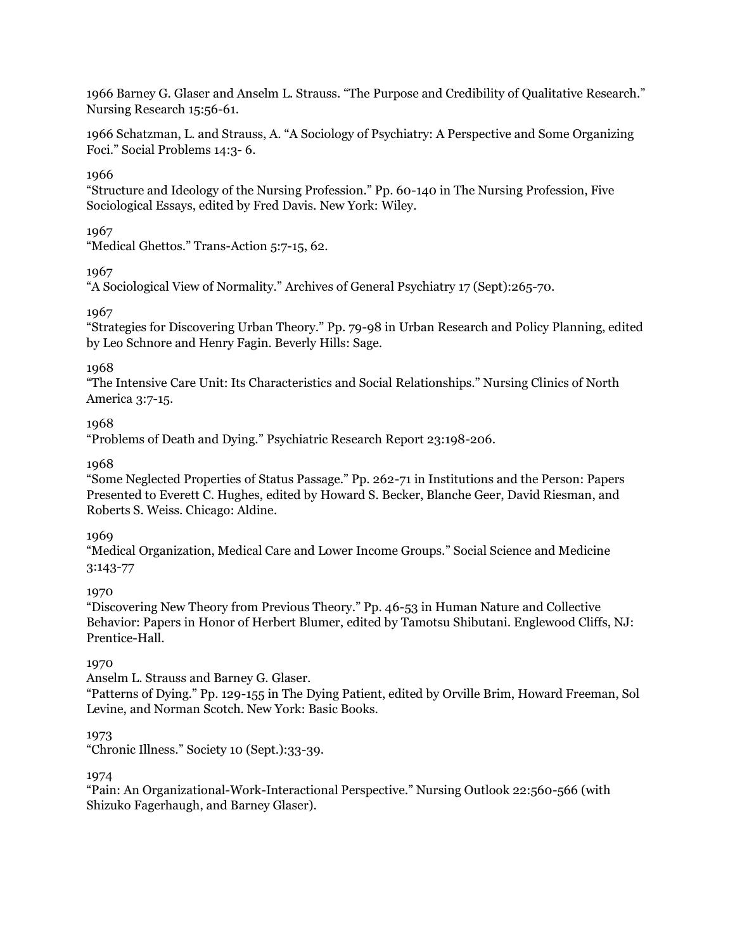1966 Barney G. Glaser and Anselm L. Strauss. "The Purpose and Credibility of Qualitative Research." Nursing Research 15:56-61.

1966 Schatzman, L. and Strauss, A. "A Sociology of Psychiatry: A Perspective and Some Organizing Foci." Social Problems 14:3- 6.

## 1966

"Structure and Ideology of the Nursing Profession." Pp. 60-140 in The Nursing Profession, Five Sociological Essays, edited by Fred Davis. New York: Wiley.

#### 1967

"Medical Ghettos." Trans-Action 5:7-15, 62.

## 1967

"A Sociological View of Normality." Archives of General Psychiatry 17 (Sept):265-70.

## 1967

"Strategies for Discovering Urban Theory." Pp. 79-98 in Urban Research and Policy Planning, edited by Leo Schnore and Henry Fagin. Beverly Hills: Sage.

## 1968

"The Intensive Care Unit: Its Characteristics and Social Relationships." Nursing Clinics of North America 3:7-15.

## 1968

"Problems of Death and Dying." Psychiatric Research Report 23:198-206.

## 1968

"Some Neglected Properties of Status Passage." Pp. 262-71 in Institutions and the Person: Papers Presented to Everett C. Hughes, edited by Howard S. Becker, Blanche Geer, David Riesman, and Roberts S. Weiss. Chicago: Aldine.

## 1969

"Medical Organization, Medical Care and Lower Income Groups." Social Science and Medicine 3:143-77

## 1970

"Discovering New Theory from Previous Theory." Pp. 46-53 in Human Nature and Collective Behavior: Papers in Honor of Herbert Blumer, edited by Tamotsu Shibutani. Englewood Cliffs, NJ: Prentice-Hall.

#### 1970

Anselm L. Strauss and Barney G. Glaser.

"Patterns of Dying." Pp. 129-155 in The Dying Patient, edited by Orville Brim, Howard Freeman, Sol Levine, and Norman Scotch. New York: Basic Books.

## 1973

"Chronic Illness." Society 10 (Sept.):33-39.

#### 1974

"Pain: An Organizational-Work-Interactional Perspective." Nursing Outlook 22:560-566 (with Shizuko Fagerhaugh, and Barney Glaser).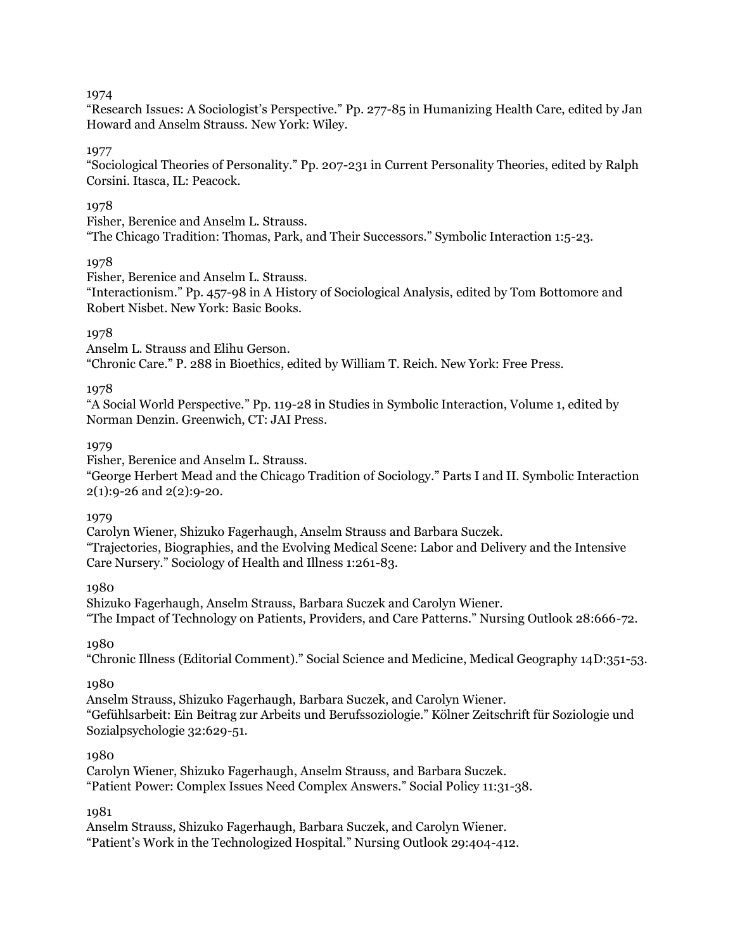"Research Issues: A Sociologist's Perspective." Pp. 277-85 in Humanizing Health Care, edited by Jan Howard and Anselm Strauss. New York: Wiley.

## 1977

"Sociological Theories of Personality." Pp. 207-231 in Current Personality Theories, edited by Ralph Corsini. Itasca, IL: Peacock.

## 1978

Fisher, Berenice and Anselm L. Strauss.

"The Chicago Tradition: Thomas, Park, and Their Successors." Symbolic Interaction 1:5-23.

### 1978

Fisher, Berenice and Anselm L. Strauss.

"Interactionism." Pp. 457-98 in A History of Sociological Analysis, edited by Tom Bottomore and Robert Nisbet. New York: Basic Books.

## 1978

Anselm L. Strauss and Elihu Gerson. "Chronic Care." P. 288 in Bioethics, edited by William T. Reich. New York: Free Press.

### 1978

"A Social World Perspective." Pp. 119-28 in Studies in Symbolic Interaction, Volume 1, edited by Norman Denzin. Greenwich, CT: JAI Press.

### 1979

Fisher, Berenice and Anselm L. Strauss.

"George Herbert Mead and the Chicago Tradition of Sociology." Parts I and II. Symbolic Interaction 2(1):9-26 and 2(2):9-20.

## 1979

Carolyn Wiener, Shizuko Fagerhaugh, Anselm Strauss and Barbara Suczek. "Trajectories, Biographies, and the Evolving Medical Scene: Labor and Delivery and the Intensive Care Nursery." Sociology of Health and Illness 1:261-83.

## 1980

Shizuko Fagerhaugh, Anselm Strauss, Barbara Suczek and Carolyn Wiener. "The Impact of Technology on Patients, Providers, and Care Patterns." Nursing Outlook 28:666-72.

1980

"Chronic Illness (Editorial Comment)." Social Science and Medicine, Medical Geography 14D:351-53.

## 1980

Anselm Strauss, Shizuko Fagerhaugh, Barbara Suczek, and Carolyn Wiener. "Gefühlsarbeit: Ein Beitrag zur Arbeits und Berufssoziologie." Kölner Zeitschrift für Soziologie und Sozialpsychologie 32:629-51.

## 1980

Carolyn Wiener, Shizuko Fagerhaugh, Anselm Strauss, and Barbara Suczek. "Patient Power: Complex Issues Need Complex Answers." Social Policy 11:31-38.

## 1981

Anselm Strauss, Shizuko Fagerhaugh, Barbara Suczek, and Carolyn Wiener. "Patient's Work in the Technologized Hospital." Nursing Outlook 29:404-412.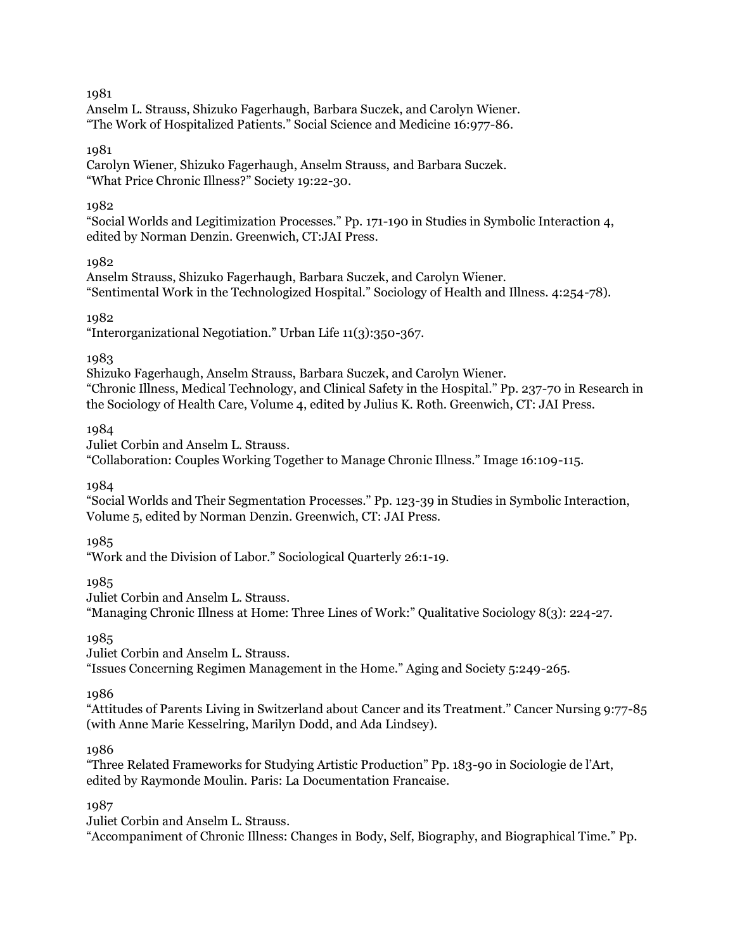Anselm L. Strauss, Shizuko Fagerhaugh, Barbara Suczek, and Carolyn Wiener. "The Work of Hospitalized Patients." Social Science and Medicine 16:977-86.

## 1981

Carolyn Wiener, Shizuko Fagerhaugh, Anselm Strauss, and Barbara Suczek. "What Price Chronic Illness?" Society 19:22-30.

## 1982

"Social Worlds and Legitimization Processes." Pp. 171-190 in Studies in Symbolic Interaction 4, edited by Norman Denzin. Greenwich, CT:JAI Press.

## 1982

Anselm Strauss, Shizuko Fagerhaugh, Barbara Suczek, and Carolyn Wiener. "Sentimental Work in the Technologized Hospital." Sociology of Health and Illness. 4:254-78).

## 1982

"Interorganizational Negotiation." Urban Life 11(3):350-367.

## 1983

Shizuko Fagerhaugh, Anselm Strauss, Barbara Suczek, and Carolyn Wiener. "Chronic Illness, Medical Technology, and Clinical Safety in the Hospital." Pp. 237-70 in Research in the Sociology of Health Care, Volume 4, edited by Julius K. Roth. Greenwich, CT: JAI Press.

1984

Juliet Corbin and Anselm L. Strauss.

"Collaboration: Couples Working Together to Manage Chronic Illness." Image 16:109-115.

1984

"Social Worlds and Their Segmentation Processes." Pp. 123-39 in Studies in Symbolic Interaction, Volume 5, edited by Norman Denzin. Greenwich, CT: JAI Press.

## 1985

"Work and the Division of Labor." Sociological Quarterly 26:1-19.

1985

Juliet Corbin and Anselm L. Strauss.

"Managing Chronic Illness at Home: Three Lines of Work:" Qualitative Sociology 8(3): 224-27.

1985

Juliet Corbin and Anselm L. Strauss.

"Issues Concerning Regimen Management in the Home." Aging and Society 5:249-265.

## 1986

"Attitudes of Parents Living in Switzerland about Cancer and its Treatment." Cancer Nursing 9:77-85 (with Anne Marie Kesselring, Marilyn Dodd, and Ada Lindsey).

## 1986

"Three Related Frameworks for Studying Artistic Production" Pp. 183-90 in Sociologie de l'Art, edited by Raymonde Moulin. Paris: La Documentation Francaise.

1987

Juliet Corbin and Anselm L. Strauss.

"Accompaniment of Chronic Illness: Changes in Body, Self, Biography, and Biographical Time." Pp.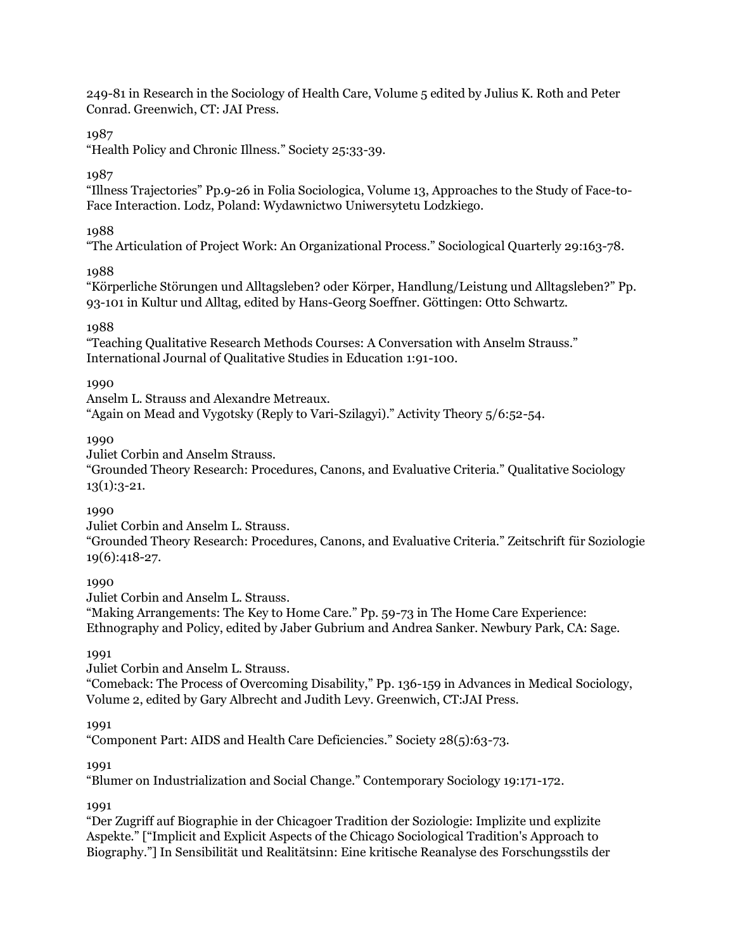249-81 in Research in the Sociology of Health Care, Volume 5 edited by Julius K. Roth and Peter Conrad. Greenwich, CT: JAI Press.

# 1987

"Health Policy and Chronic Illness." Society 25:33-39.

## 1987

"Illness Trajectories" Pp.9-26 in Folia Sociologica, Volume 13, Approaches to the Study of Face-to-Face Interaction. Lodz, Poland: Wydawnictwo Uniwersytetu Lodzkiego.

## 1988

"The Articulation of Project Work: An Organizational Process." Sociological Quarterly 29:163-78.

## 1988

"Körperliche Störungen und Alltagsleben? oder Körper, Handlung/Leistung und Alltagsleben?" Pp. 93-101 in Kultur und Alltag, edited by Hans-Georg Soeffner. Göttingen: Otto Schwartz.

## 1988

"Teaching Qualitative Research Methods Courses: A Conversation with Anselm Strauss." International Journal of Qualitative Studies in Education 1:91-100.

## 1990

Anselm L. Strauss and Alexandre Metreaux.

"Again on Mead and Vygotsky (Reply to Vari-Szilagyi)." Activity Theory 5/6:52-54.

### 1990

Juliet Corbin and Anselm Strauss.

"Grounded Theory Research: Procedures, Canons, and Evaluative Criteria." Qualitative Sociology  $13(1):3-21.$ 

## 1990

Juliet Corbin and Anselm L. Strauss.

"Grounded Theory Research: Procedures, Canons, and Evaluative Criteria." Zeitschrift für Soziologie 19(6):418-27.

## 1990

Juliet Corbin and Anselm L. Strauss.

"Making Arrangements: The Key to Home Care." Pp. 59-73 in The Home Care Experience: Ethnography and Policy, edited by Jaber Gubrium and Andrea Sanker. Newbury Park, CA: Sage.

## 1991

Juliet Corbin and Anselm L. Strauss.

"Comeback: The Process of Overcoming Disability," Pp. 136-159 in Advances in Medical Sociology, Volume 2, edited by Gary Albrecht and Judith Levy. Greenwich, CT:JAI Press.

## 1991

"Component Part: AIDS and Health Care Deficiencies." Society 28(5):63-73.

#### 1991

"Blumer on Industrialization and Social Change." Contemporary Sociology 19:171-172.

## 1991

"Der Zugriff auf Biographie in der Chicagoer Tradition der Soziologie: Implizite und explizite Aspekte." ["Implicit and Explicit Aspects of the Chicago Sociological Tradition's Approach to Biography."] In Sensibilität und Realitätsinn: Eine kritische Reanalyse des Forschungsstils der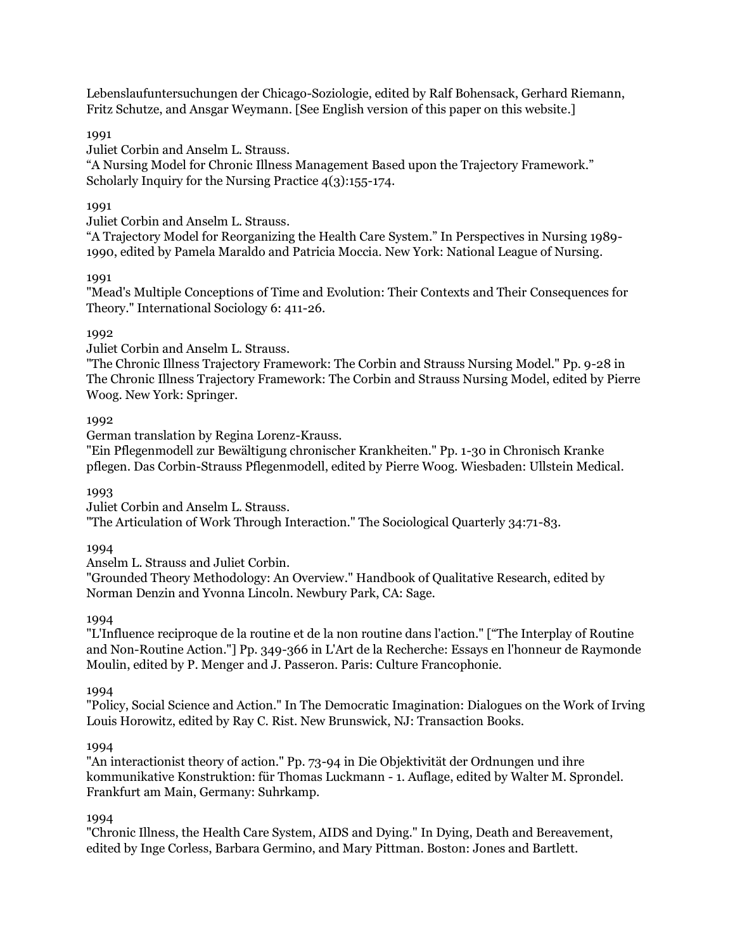Lebenslaufuntersuchungen der Chicago-Soziologie, edited by Ralf Bohensack, Gerhard Riemann, Fritz Schutze, and Ansgar Weymann. [See English version of this paper on this website.]

1991

Juliet Corbin and Anselm L. Strauss.

"A Nursing Model for Chronic Illness Management Based upon the Trajectory Framework." Scholarly Inquiry for the Nursing Practice 4(3):155-174.

## 1991

Juliet Corbin and Anselm L. Strauss.

"A Trajectory Model for Reorganizing the Health Care System." In Perspectives in Nursing 1989- 1990, edited by Pamela Maraldo and Patricia Moccia. New York: National League of Nursing.

1991

"Mead's Multiple Conceptions of Time and Evolution: Their Contexts and Their Consequences for Theory." International Sociology 6: 411-26.

## 1992

Juliet Corbin and Anselm L. Strauss.

"The Chronic Illness Trajectory Framework: The Corbin and Strauss Nursing Model." Pp. 9-28 in The Chronic Illness Trajectory Framework: The Corbin and Strauss Nursing Model, edited by Pierre Woog. New York: Springer.

## 1992

German translation by Regina Lorenz-Krauss.

"Ein Pflegenmodell zur Bewältigung chronischer Krankheiten." Pp. 1-30 in Chronisch Kranke pflegen. Das Corbin-Strauss Pflegenmodell, edited by Pierre Woog. Wiesbaden: Ullstein Medical.

1993

Juliet Corbin and Anselm L. Strauss.

"The Articulation of Work Through Interaction." The Sociological Quarterly 34:71-83.

1994

Anselm L. Strauss and Juliet Corbin.

"Grounded Theory Methodology: An Overview." Handbook of Qualitative Research, edited by Norman Denzin and Yvonna Lincoln. Newbury Park, CA: Sage.

1994

"L'Influence reciproque de la routine et de la non routine dans l'action." ["The Interplay of Routine and Non-Routine Action."] Pp. 349-366 in L'Art de la Recherche: Essays en l'honneur de Raymonde Moulin, edited by P. Menger and J. Passeron. Paris: Culture Francophonie.

1994

"Policy, Social Science and Action." In The Democratic Imagination: Dialogues on the Work of Irving Louis Horowitz, edited by Ray C. Rist. New Brunswick, NJ: Transaction Books.

## 1994

"An interactionist theory of action." Pp. 73-94 in Die Objektivität der Ordnungen und ihre kommunikative Konstruktion: für Thomas Luckmann - 1. Auflage, edited by Walter M. Sprondel. Frankfurt am Main, Germany: Suhrkamp.

1994

"Chronic Illness, the Health Care System, AIDS and Dying." In Dying, Death and Bereavement, edited by Inge Corless, Barbara Germino, and Mary Pittman. Boston: Jones and Bartlett.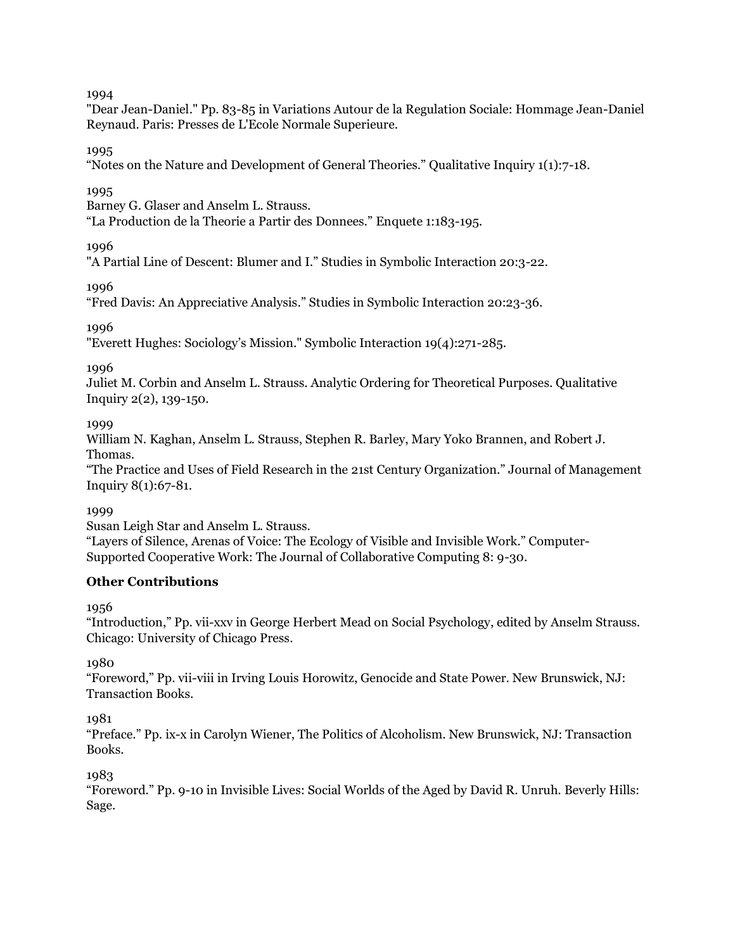"Dear Jean-Daniel." Pp. 83-85 in Variations Autour de la Regulation Sociale: Hommage Jean-Daniel Reynaud. Paris: Presses de L'Ecole Normale Superieure.

1995

"Notes on the Nature and Development of General Theories." Qualitative Inquiry 1(1):7-18.

1995

Barney G. Glaser and Anselm L. Strauss.

"La Production de la Theorie a Partir des Donnees." Enquete 1:183-195.

1996

"A Partial Line of Descent: Blumer and I." Studies in Symbolic Interaction 20:3-22.

1996

"Fred Davis: An Appreciative Analysis." Studies in Symbolic Interaction 20:23-36.

1996

"Everett Hughes: Sociology's Mission." Symbolic Interaction 19(4):271-285.

1996

Juliet M. Corbin and Anselm L. Strauss. Analytic Ordering for Theoretical Purposes. Qualitative Inquiry 2(2), 139-150.

1999

William N. Kaghan, Anselm L. Strauss, Stephen R. Barley, Mary Yoko Brannen, and Robert J. Thomas.

"The Practice and Uses of Field Research in the 21st Century Organization." Journal of Management Inquiry 8(1):67-81.

1999

Susan Leigh Star and Anselm L. Strauss.

"Layers of Silence, Arenas of Voice: The Ecology of Visible and Invisible Work." Computer-Supported Cooperative Work: The Journal of Collaborative Computing 8: 9-30.

## **Other Contributions**

1956

"Introduction," Pp. vii-xxv in George Herbert Mead on Social Psychology, edited by Anselm Strauss. Chicago: University of Chicago Press.

1980

"Foreword," Pp. vii-viii in Irving Louis Horowitz, Genocide and State Power. New Brunswick, NJ: Transaction Books.

1981

"Preface." Pp. ix-x in Carolyn Wiener, The Politics of Alcoholism. New Brunswick, NJ: Transaction Books.

1983

"Foreword." Pp. 9-10 in Invisible Lives: Social Worlds of the Aged by David R. Unruh. Beverly Hills: Sage.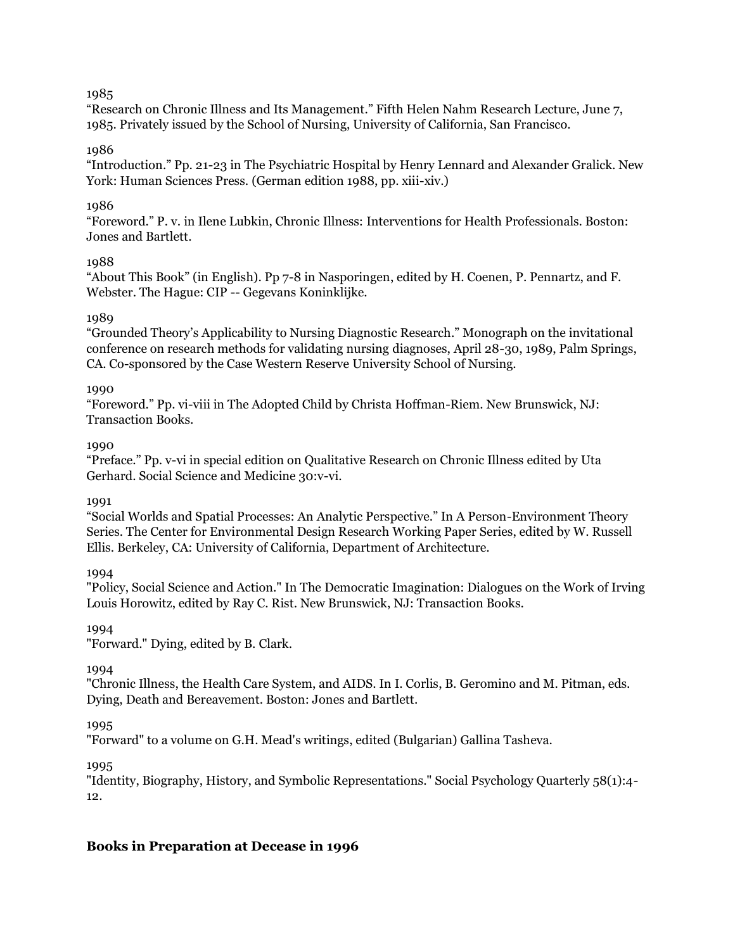"Research on Chronic Illness and Its Management." Fifth Helen Nahm Research Lecture, June 7, 1985. Privately issued by the School of Nursing, University of California, San Francisco.

## 1986

"Introduction." Pp. 21-23 in The Psychiatric Hospital by Henry Lennard and Alexander Gralick. New York: Human Sciences Press. (German edition 1988, pp. xiii-xiv.)

## 1986

"Foreword." P. v. in Ilene Lubkin, Chronic Illness: Interventions for Health Professionals. Boston: Jones and Bartlett.

### 1988

"About This Book" (in English). Pp 7-8 in Nasporingen, edited by H. Coenen, P. Pennartz, and F. Webster. The Hague: CIP -- Gegevans Koninklijke.

### 1989

"Grounded Theory's Applicability to Nursing Diagnostic Research." Monograph on the invitational conference on research methods for validating nursing diagnoses, April 28-30, 1989, Palm Springs, CA. Co-sponsored by the Case Western Reserve University School of Nursing.

#### 1990

"Foreword." Pp. vi-viii in The Adopted Child by Christa Hoffman-Riem. New Brunswick, NJ: Transaction Books.

### 1000

"Preface." Pp. v-vi in special edition on Qualitative Research on Chronic Illness edited by Uta Gerhard. Social Science and Medicine 30:v-vi.

#### 1991

"Social Worlds and Spatial Processes: An Analytic Perspective." In A Person-Environment Theory Series. The Center for Environmental Design Research Working Paper Series, edited by W. Russell Ellis. Berkeley, CA: University of California, Department of Architecture.

## 1994

"Policy, Social Science and Action." In The Democratic Imagination: Dialogues on the Work of Irving Louis Horowitz, edited by Ray C. Rist. New Brunswick, NJ: Transaction Books.

## 1994

"Forward." Dying, edited by B. Clark.

## 1994

"Chronic Illness, the Health Care System, and AIDS. In I. Corlis, B. Geromino and M. Pitman, eds. Dying, Death and Bereavement. Boston: Jones and Bartlett.

#### 1995

"Forward" to a volume on G.H. Mead's writings, edited (Bulgarian) Gallina Tasheva.

1995

"Identity, Biography, History, and Symbolic Representations." Social Psychology Quarterly 58(1):4- 12.

## **Books in Preparation at Decease in 1996**